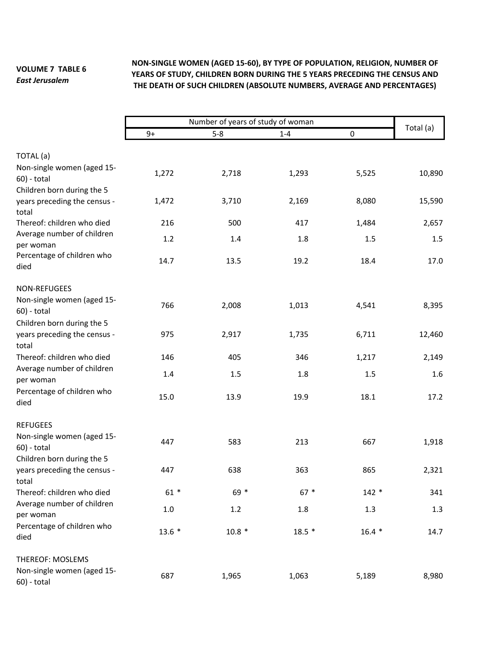## **VOLUME 7 TABLE 6**  *East Jerusalem*

## **NON‐SINGLE WOMEN (AGED 15‐60), BY TYPE OF POPULATION, RELIGION, NUMBER OF YEARS OF STUDY, CHILDREN BORN DURING THE 5 YEARS PRECEDING THE CENSUS AND THE DEATH OF SUCH CHILDREN (ABSOLUTE NUMBERS, AVERAGE AND PERCENTAGES)**

|                                                                     | $9+$    | Number of years of study of woman<br>$5 - 8$ | $1 - 4$ | 0       | Total (a) |
|---------------------------------------------------------------------|---------|----------------------------------------------|---------|---------|-----------|
| TOTAL (a)                                                           |         |                                              |         |         |           |
| Non-single women (aged 15-<br>60) - total                           | 1,272   | 2,718                                        | 1,293   | 5,525   | 10,890    |
| Children born during the 5<br>years preceding the census -          | 1,472   | 3,710                                        | 2,169   | 8,080   | 15,590    |
| total<br>Thereof: children who died                                 | 216     | 500                                          | 417     | 1,484   | 2,657     |
| Average number of children<br>per woman                             | 1.2     | 1.4                                          | 1.8     | 1.5     | 1.5       |
| Percentage of children who<br>died                                  | 14.7    | 13.5                                         | 19.2    | 18.4    | 17.0      |
| NON-REFUGEES                                                        |         |                                              |         |         |           |
| Non-single women (aged 15-<br>60) - total                           | 766     | 2,008                                        | 1,013   | 4,541   | 8,395     |
| Children born during the 5<br>years preceding the census -<br>total | 975     | 2,917                                        | 1,735   | 6,711   | 12,460    |
| Thereof: children who died                                          | 146     | 405                                          | 346     | 1,217   | 2,149     |
| Average number of children<br>per woman                             | 1.4     | 1.5                                          | 1.8     | 1.5     | 1.6       |
| Percentage of children who<br>died                                  | 15.0    | 13.9                                         | 19.9    | 18.1    | 17.2      |
| <b>REFUGEES</b>                                                     |         |                                              |         |         |           |
| Non-single women (aged 15-<br>60) - total                           | 447     | 583                                          | 213     | 667     | 1,918     |
| Children born during the 5<br>years preceding the census -<br>total | 447     | 638                                          | 363     | 865     | 2,321     |
| Thereof: children who died                                          | $61 *$  | 69 *                                         | $67 *$  | $142 *$ | 341       |
| Average number of children<br>per woman                             | $1.0\,$ | $1.2\,$                                      | 1.8     | 1.3     | 1.3       |
| Percentage of children who<br>died                                  | $13.6*$ | $10.8 *$                                     | $18.5*$ | $16.4*$ | 14.7      |
| <b>THEREOF: MOSLEMS</b>                                             |         |                                              |         |         |           |
| Non-single women (aged 15-<br>60) - total                           | 687     | 1,965                                        | 1,063   | 5,189   | 8,980     |